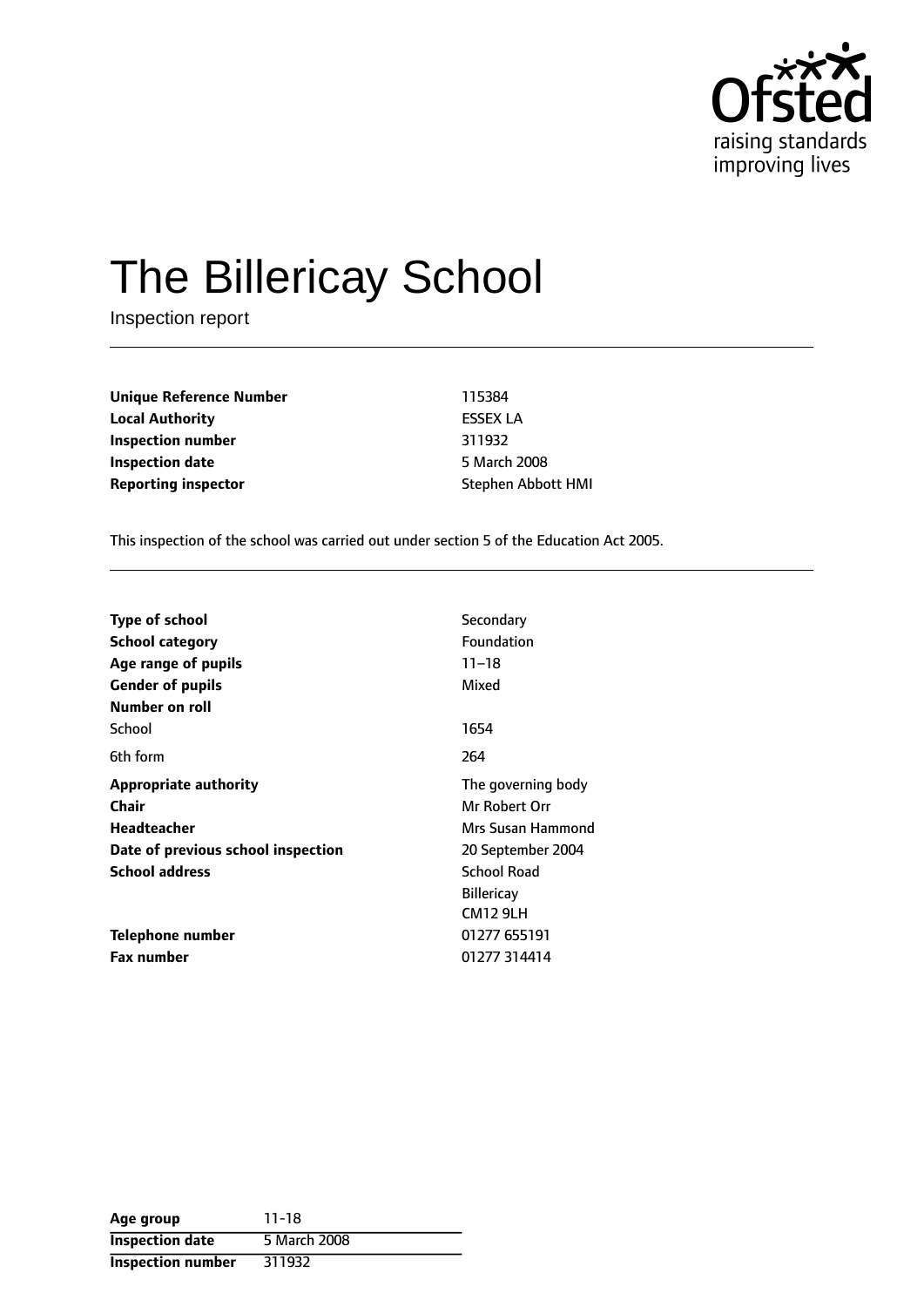

# The Billericay School

Inspection report

**Unique Reference Number** 115384 **Local Authority** ESSEX LA **Inspection number** 311932 **Inspection date** 5 March 2008 **Reporting inspector Stephen Abbott HMI** 

This inspection of the school was carried out under section 5 of the Education Act 2005.

| <b>Type of school</b>              | Secondary          |  |
|------------------------------------|--------------------|--|
| School category                    | <b>Foundation</b>  |  |
| Age range of pupils                | $11 - 18$          |  |
| <b>Gender of pupils</b>            | Mixed              |  |
| Number on roll                     |                    |  |
| School                             | 1654               |  |
| 6th form                           | 264                |  |
| <b>Appropriate authority</b>       | The governing body |  |
| Chair                              | Mr Robert Orr      |  |
| <b>Headteacher</b>                 | Mrs Susan Hammond  |  |
| Date of previous school inspection | 20 September 2004  |  |
| <b>School address</b>              | <b>School Road</b> |  |
|                                    | <b>Billericay</b>  |  |
|                                    | <b>CM12 9LH</b>    |  |
| Telephone number                   | 01277 655191       |  |
| <b>Fax number</b>                  | 01277 314414       |  |

| Age group                | $11 - 18$    |
|--------------------------|--------------|
| <b>Inspection date</b>   | 5 March 2008 |
| <b>Inspection number</b> | 311932       |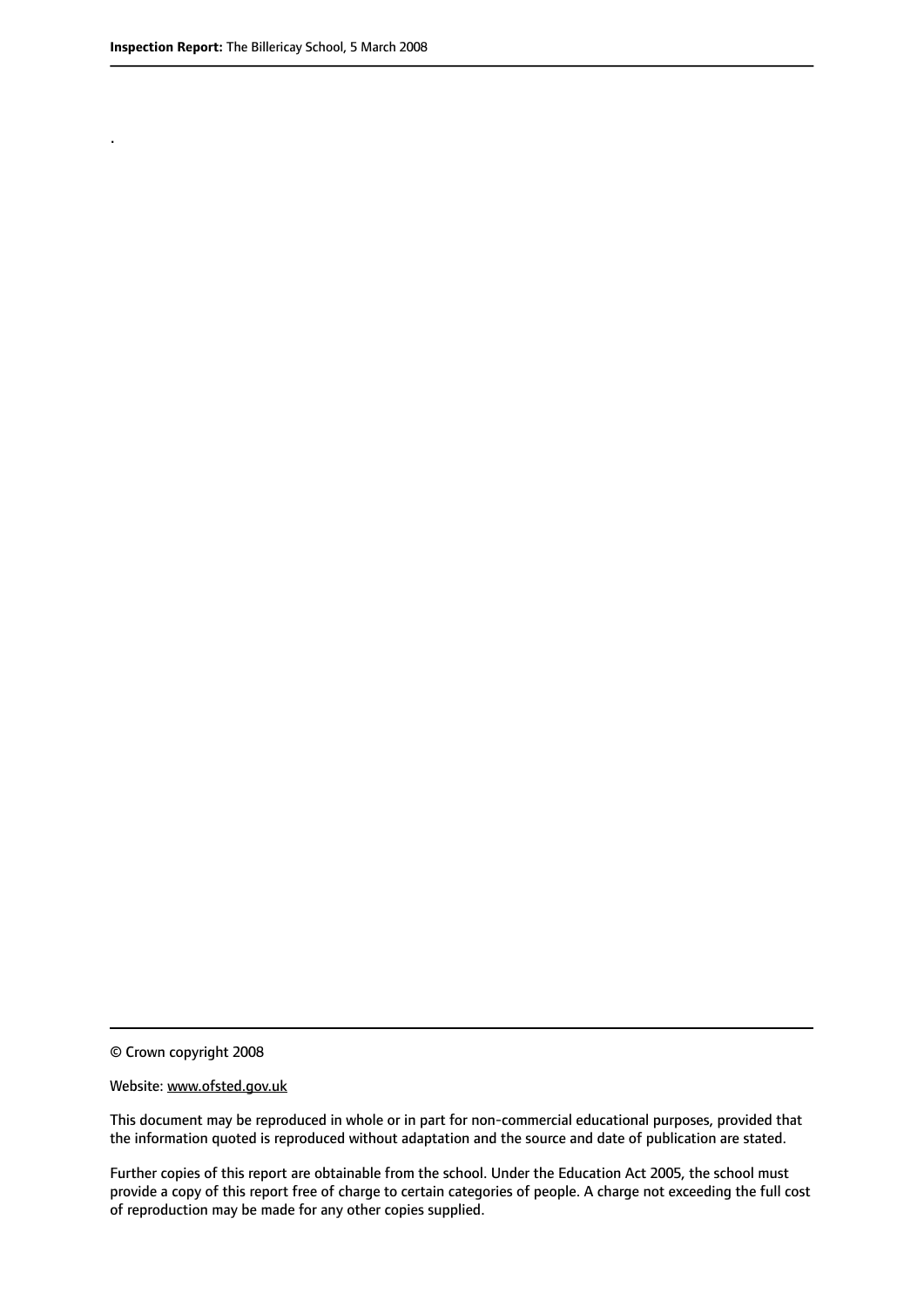.

© Crown copyright 2008

#### Website: www.ofsted.gov.uk

This document may be reproduced in whole or in part for non-commercial educational purposes, provided that the information quoted is reproduced without adaptation and the source and date of publication are stated.

Further copies of this report are obtainable from the school. Under the Education Act 2005, the school must provide a copy of this report free of charge to certain categories of people. A charge not exceeding the full cost of reproduction may be made for any other copies supplied.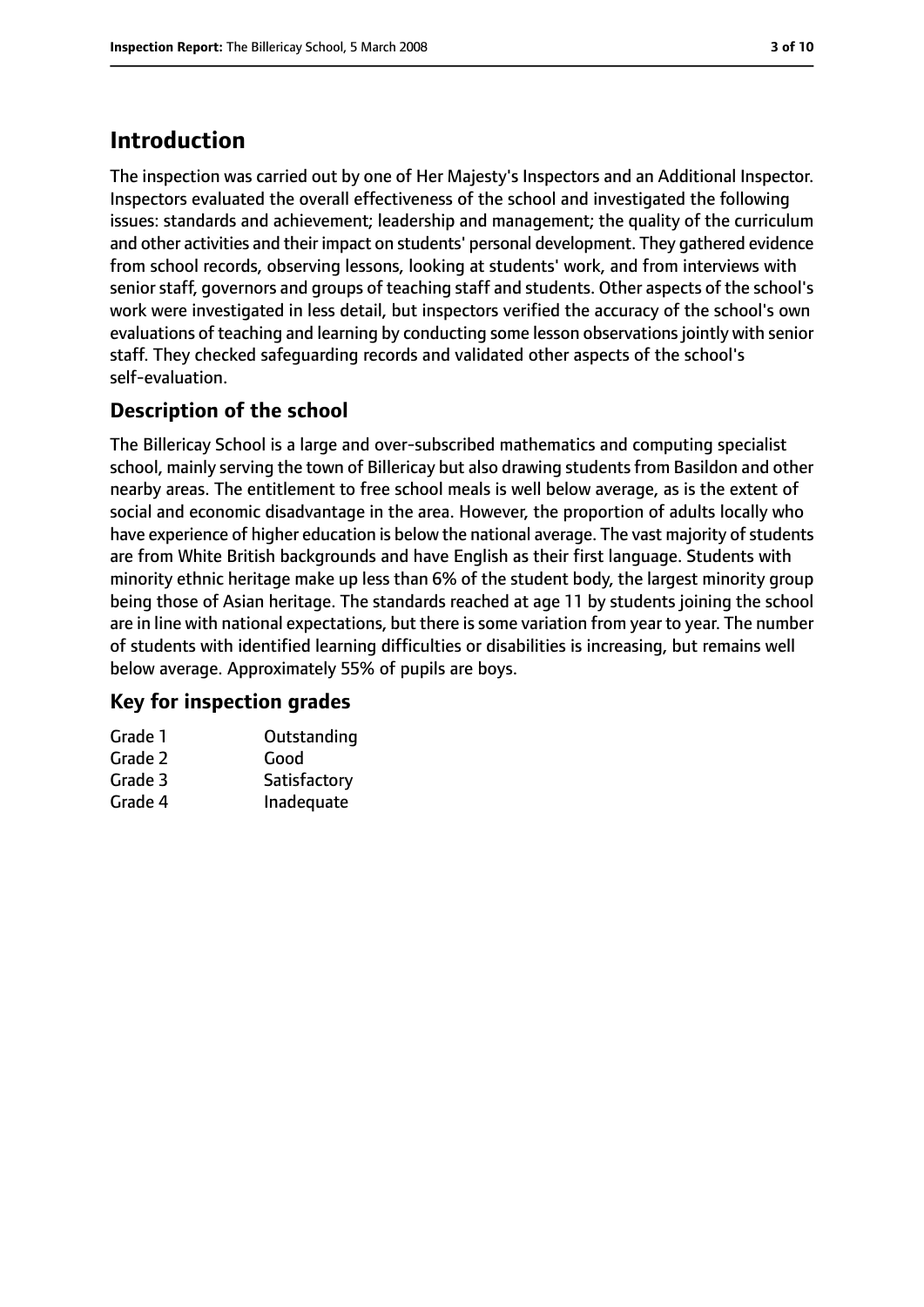## **Introduction**

The inspection was carried out by one of Her Majesty's Inspectors and an Additional Inspector. Inspectors evaluated the overall effectiveness of the school and investigated the following issues: standards and achievement; leadership and management; the quality of the curriculum and other activities and their impact on students' personal development. They gathered evidence from school records, observing lessons, looking at students' work, and from interviews with senior staff, governors and groups of teaching staff and students. Other aspects of the school's work were investigated in less detail, but inspectors verified the accuracy of the school's own evaluations of teaching and learning by conducting some lesson observations jointly with senior staff. They checked safeguarding records and validated other aspects of the school's self-evaluation.

## **Description of the school**

The Billericay School is a large and over-subscribed mathematics and computing specialist school, mainly serving the town of Billericay but also drawing students from Basildon and other nearby areas. The entitlement to free school meals is well below average, as is the extent of social and economic disadvantage in the area. However, the proportion of adults locally who have experience of higher education is below the national average. The vast majority of students are from White British backgrounds and have English as their first language. Students with minority ethnic heritage make up less than 6% of the student body, the largest minority group being those of Asian heritage. The standards reached at age 11 by students joining the school are in line with national expectations, but there is some variation from year to year. The number of students with identified learning difficulties or disabilities is increasing, but remains well below average. Approximately 55% of pupils are boys.

## **Key for inspection grades**

| Grade 1 | Outstanding  |
|---------|--------------|
| Grade 2 | Good         |
| Grade 3 | Satisfactory |
| Grade 4 | Inadequate   |
|         |              |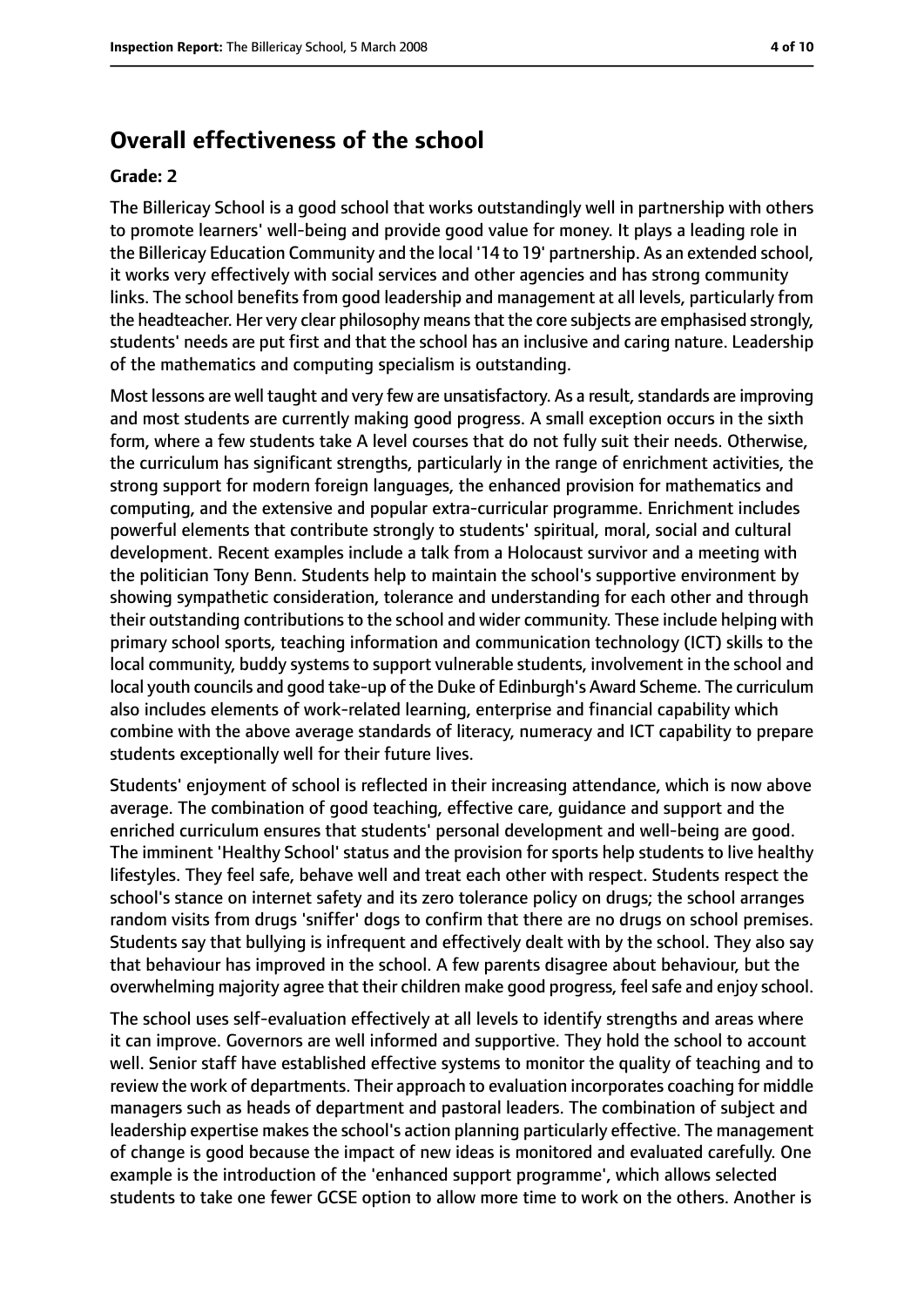## **Overall effectiveness of the school**

#### **Grade: 2**

The Billericay School is a good school that works outstandingly well in partnership with others to promote learners' well-being and provide good value for money. It plays a leading role in the Billericay Education Community and the local '14 to 19' partnership. As an extended school, it works very effectively with social services and other agencies and has strong community links. The school benefits from good leadership and management at all levels, particularly from the headteacher. Her very clear philosophy meansthat the core subjects are emphasised strongly, students' needs are put first and that the school has an inclusive and caring nature. Leadership of the mathematics and computing specialism is outstanding.

Most lessons are well taught and very few are unsatisfactory. As a result, standards are improving and most students are currently making good progress. A small exception occurs in the sixth form, where a few students take A level courses that do not fully suit their needs. Otherwise, the curriculum has significant strengths, particularly in the range of enrichment activities, the strong support for modern foreign languages, the enhanced provision for mathematics and computing, and the extensive and popular extra-curricular programme. Enrichment includes powerful elements that contribute strongly to students' spiritual, moral, social and cultural development. Recent examples include a talk from a Holocaust survivor and a meeting with the politician Tony Benn. Students help to maintain the school's supportive environment by showing sympathetic consideration, tolerance and understanding for each other and through their outstanding contributions to the school and wider community. These include helping with primary school sports, teaching information and communication technology (ICT) skills to the local community, buddy systems to support vulnerable students, involvement in the school and local youth councils and good take-up of the Duke of Edinburgh's Award Scheme. The curriculum also includes elements of work-related learning, enterprise and financial capability which combine with the above average standards of literacy, numeracy and ICT capability to prepare students exceptionally well for their future lives.

Students' enjoyment of school is reflected in their increasing attendance, which is now above average. The combination of good teaching, effective care, guidance and support and the enriched curriculum ensures that students' personal development and well-being are good. The imminent 'Healthy School' status and the provision for sports help students to live healthy lifestyles. They feel safe, behave well and treat each other with respect. Students respect the school's stance on internet safety and its zero tolerance policy on drugs; the school arranges random visits from drugs 'sniffer' dogs to confirm that there are no drugs on school premises. Students say that bullying is infrequent and effectively dealt with by the school. They also say that behaviour has improved in the school. A few parents disagree about behaviour, but the overwhelming majority agree that their children make good progress, feel safe and enjoy school.

The school uses self-evaluation effectively at all levels to identify strengths and areas where it can improve. Governors are well informed and supportive. They hold the school to account well. Senior staff have established effective systems to monitor the quality of teaching and to review the work of departments. Their approach to evaluation incorporates coaching for middle managers such as heads of department and pastoral leaders. The combination of subject and leadership expertise makes the school's action planning particularly effective. The management of change is good because the impact of new ideas is monitored and evaluated carefully. One example is the introduction of the 'enhanced support programme', which allows selected students to take one fewer GCSE option to allow more time to work on the others. Another is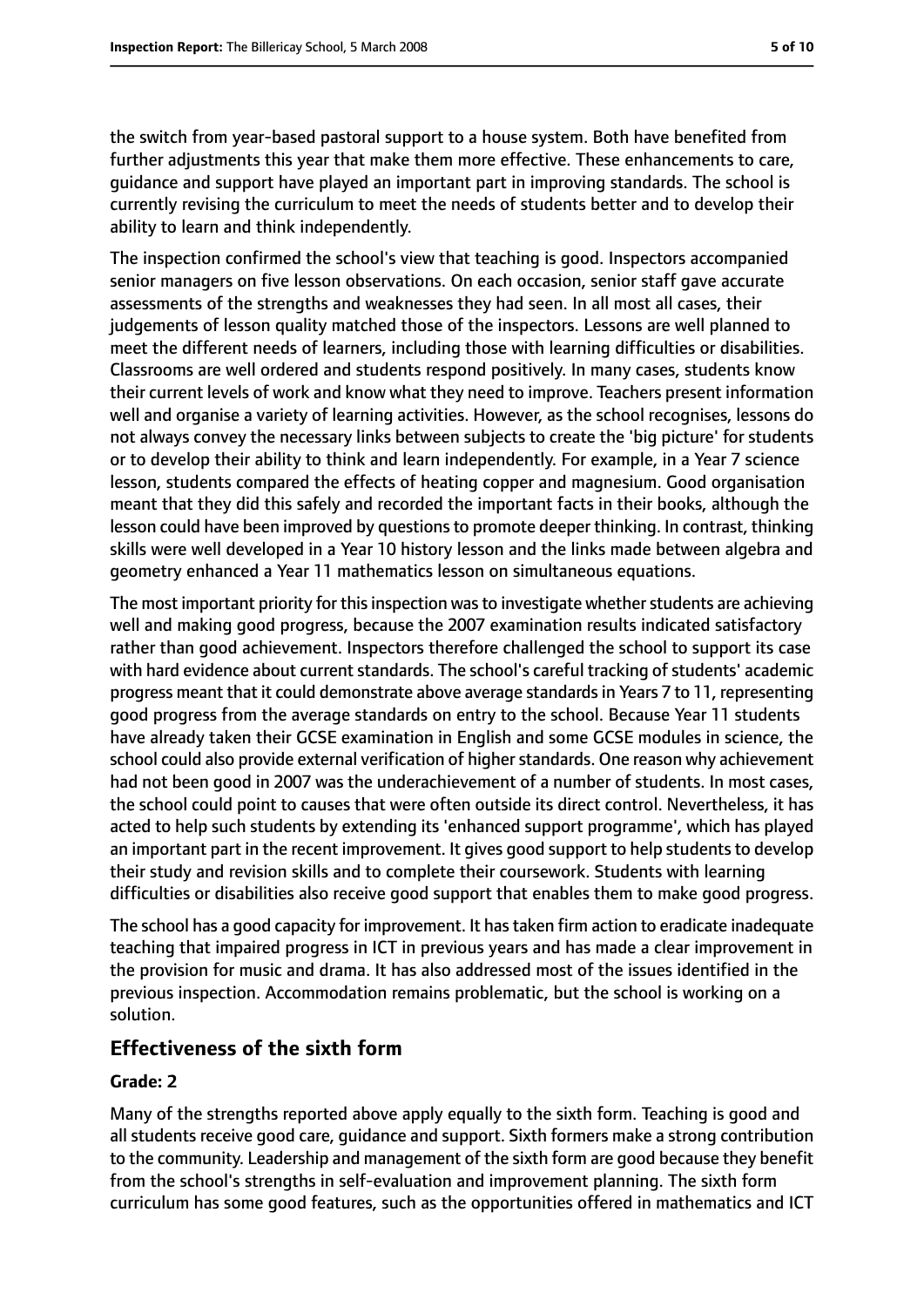the switch from year-based pastoral support to a house system. Both have benefited from further adjustments this year that make them more effective. These enhancements to care, guidance and support have played an important part in improving standards. The school is currently revising the curriculum to meet the needs of students better and to develop their ability to learn and think independently.

The inspection confirmed the school's view that teaching is good. Inspectors accompanied senior managers on five lesson observations. On each occasion, senior staff gave accurate assessments of the strengths and weaknesses they had seen. In all most all cases, their judgements of lesson quality matched those of the inspectors. Lessons are well planned to meet the different needs of learners, including those with learning difficulties or disabilities. Classrooms are well ordered and students respond positively. In many cases, students know their current levels of work and know what they need to improve. Teachers present information well and organise a variety of learning activities. However, as the school recognises, lessons do not always convey the necessary links between subjects to create the 'big picture' for students or to develop their ability to think and learn independently. For example, in a Year 7 science lesson, students compared the effects of heating copper and magnesium. Good organisation meant that they did this safely and recorded the important facts in their books, although the lesson could have been improved by questions to promote deeper thinking. In contrast, thinking skills were well developed in a Year 10 history lesson and the links made between algebra and geometry enhanced a Year 11 mathematics lesson on simultaneous equations.

The most important priority for this inspection was to investigate whether students are achieving well and making good progress, because the 2007 examination results indicated satisfactory rather than good achievement. Inspectors therefore challenged the school to support its case with hard evidence about current standards. The school's careful tracking of students' academic progress meant that it could demonstrate above average standardsin Years 7 to 11, representing good progress from the average standards on entry to the school. Because Year 11 students have already taken their GCSE examination in English and some GCSE modules in science, the school could also provide external verification of higher standards. One reason why achievement had not been good in 2007 was the underachievement of a number of students. In most cases, the school could point to causes that were often outside its direct control. Nevertheless, it has acted to help such students by extending its 'enhanced support programme', which has played an important part in the recent improvement. It gives good support to help students to develop their study and revision skills and to complete their coursework. Students with learning difficulties or disabilities also receive good support that enables them to make good progress.

The school has a good capacity for improvement. It hastaken firm action to eradicate inadequate teaching that impaired progress in ICT in previous years and has made a clear improvement in the provision for music and drama. It has also addressed most of the issues identified in the previous inspection. Accommodation remains problematic, but the school is working on a solution.

### **Effectiveness of the sixth form**

#### **Grade: 2**

Many of the strengths reported above apply equally to the sixth form. Teaching is good and all students receive good care, guidance and support. Sixth formers make a strong contribution to the community. Leadership and management of the sixth form are good because they benefit from the school's strengths in self-evaluation and improvement planning. The sixth form curriculum has some good features, such as the opportunities offered in mathematics and ICT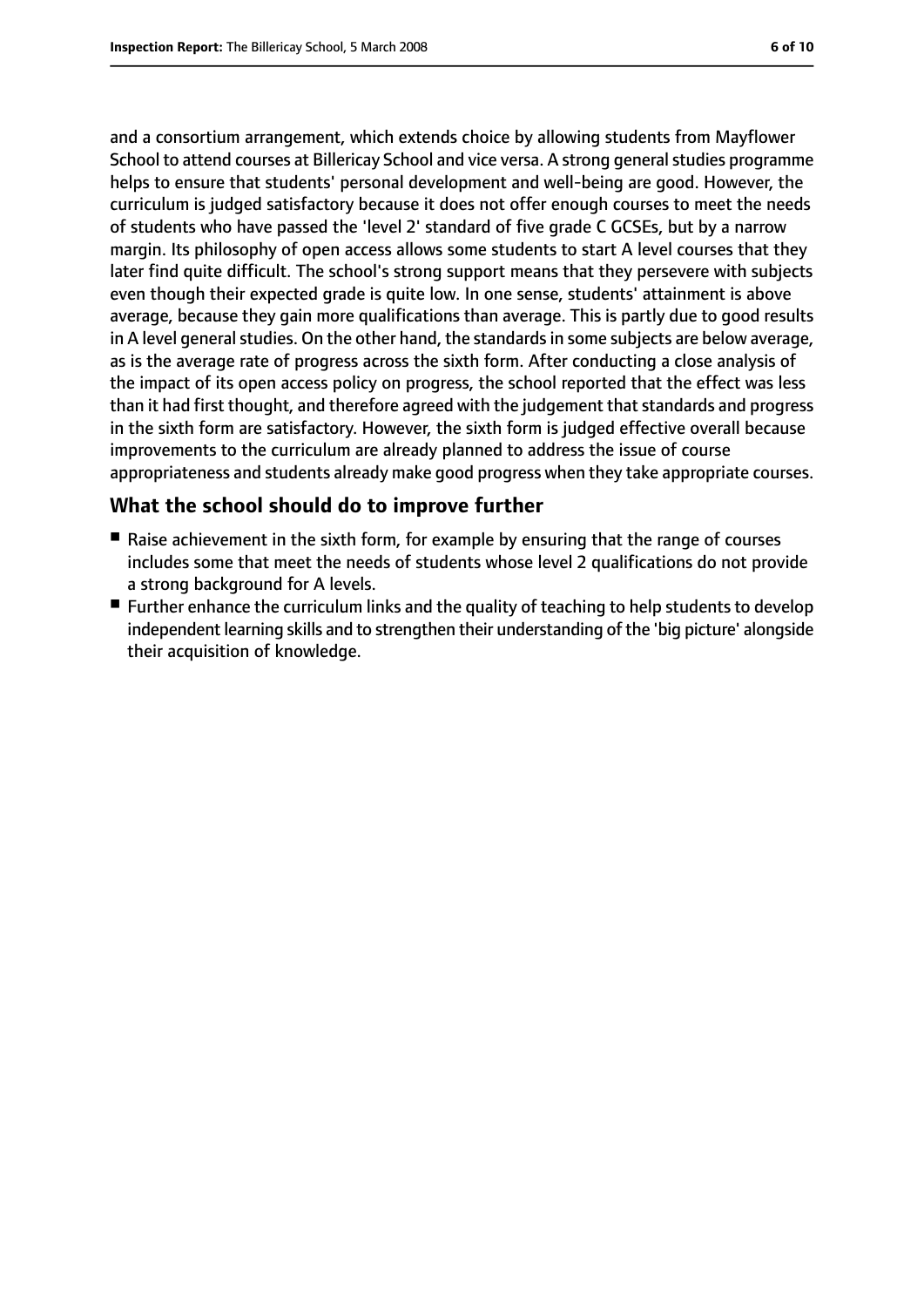and a consortium arrangement, which extends choice by allowing students from Mayflower School to attend courses at Billericay School and vice versa. A strong general studies programme helps to ensure that students' personal development and well-being are good. However, the curriculum is judged satisfactory because it does not offer enough courses to meet the needs of students who have passed the 'level 2' standard of five grade C GCSEs, but by a narrow margin. Its philosophy of open access allows some students to start A level courses that they later find quite difficult. The school's strong support means that they persevere with subjects even though their expected grade is quite low. In one sense, students' attainment is above average, because they gain more qualifications than average. This is partly due to good results in A level general studies. On the other hand, the standards in some subjects are below average, as is the average rate of progress across the sixth form. After conducting a close analysis of the impact of its open access policy on progress, the school reported that the effect was less than it had first thought, and therefore agreed with the judgement that standards and progress in the sixth form are satisfactory. However, the sixth form is judged effective overall because improvements to the curriculum are already planned to address the issue of course appropriateness and students already make good progress when they take appropriate courses.

## **What the school should do to improve further**

- Raise achievement in the sixth form, for example by ensuring that the range of courses includes some that meet the needs of students whose level 2 qualifications do not provide a strong background for A levels.
- Further enhance the curriculum links and the quality of teaching to help students to develop independent learning skills and to strengthen their understanding of the 'big picture' alongside their acquisition of knowledge.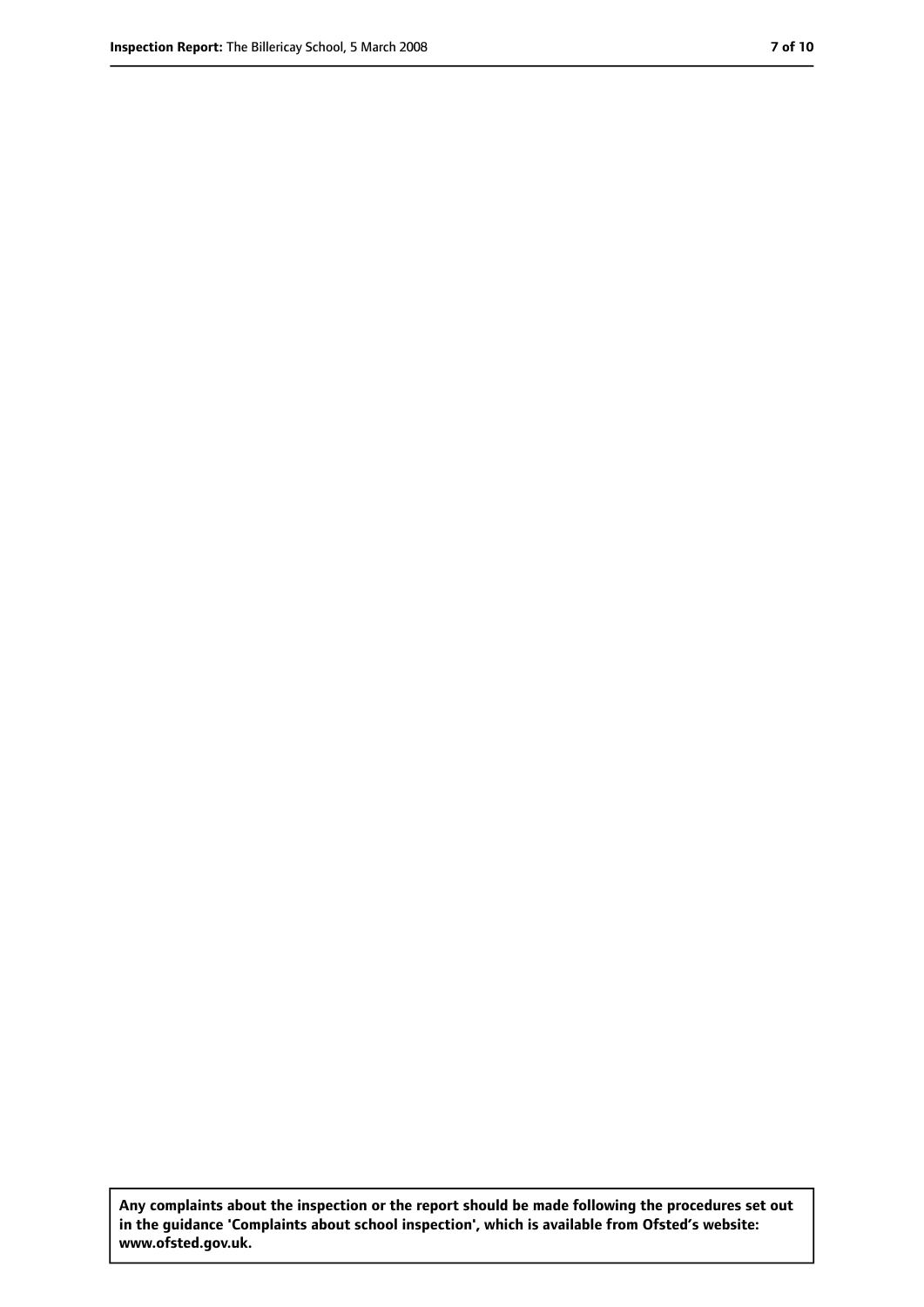**Any complaints about the inspection or the report should be made following the procedures set out in the guidance 'Complaints about school inspection', which is available from Ofsted's website: www.ofsted.gov.uk.**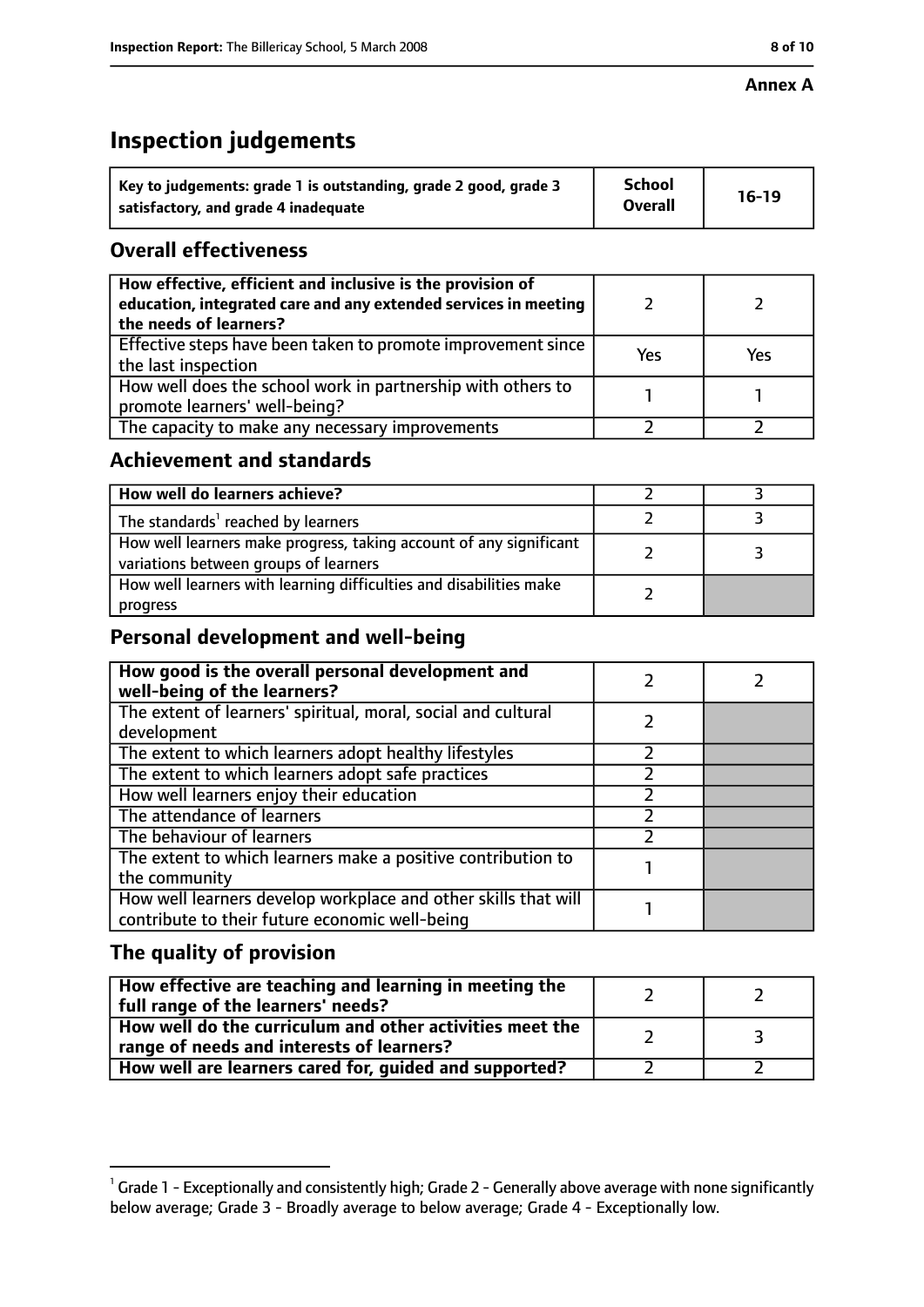#### **Annex A**

# **Inspection judgements**

| Key to judgements: grade 1 is outstanding, grade 2 good, grade 3 | <b>School</b>  | $16-19$ |
|------------------------------------------------------------------|----------------|---------|
| satisfactory, and grade 4 inadequate                             | <b>Overall</b> |         |

## **Overall effectiveness**

| How effective, efficient and inclusive is the provision of<br>education, integrated care and any extended services in meeting<br>the needs of learners? |     |     |
|---------------------------------------------------------------------------------------------------------------------------------------------------------|-----|-----|
| Effective steps have been taken to promote improvement since<br>the last inspection                                                                     | Yes | Yes |
| How well does the school work in partnership with others to<br>promote learners' well-being?                                                            |     |     |
| The capacity to make any necessary improvements                                                                                                         |     |     |

## **Achievement and standards**

| How well do learners achieve?                                                                               |  |
|-------------------------------------------------------------------------------------------------------------|--|
| The standards <sup>1</sup> reached by learners                                                              |  |
| How well learners make progress, taking account of any significant<br>variations between groups of learners |  |
| How well learners with learning difficulties and disabilities make<br>progress                              |  |

## **Personal development and well-being**

| How good is the overall personal development and<br>well-being of the learners?                                  |  |
|------------------------------------------------------------------------------------------------------------------|--|
| The extent of learners' spiritual, moral, social and cultural                                                    |  |
| development                                                                                                      |  |
| The extent to which learners adopt healthy lifestyles                                                            |  |
| The extent to which learners adopt safe practices                                                                |  |
| How well learners enjoy their education                                                                          |  |
| The attendance of learners                                                                                       |  |
| The behaviour of learners                                                                                        |  |
| The extent to which learners make a positive contribution to                                                     |  |
| the community                                                                                                    |  |
| How well learners develop workplace and other skills that will<br>contribute to their future economic well-being |  |

## **The quality of provision**

| How effective are teaching and learning in meeting the<br>full range of the learners' needs?          |    |
|-------------------------------------------------------------------------------------------------------|----|
| How well do the curriculum and other activities meet the<br>range of needs and interests of learners? | ્ર |
| How well are learners cared for, guided and supported?                                                |    |

 $^1$  Grade 1 - Exceptionally and consistently high; Grade 2 - Generally above average with none significantly below average; Grade 3 - Broadly average to below average; Grade 4 - Exceptionally low.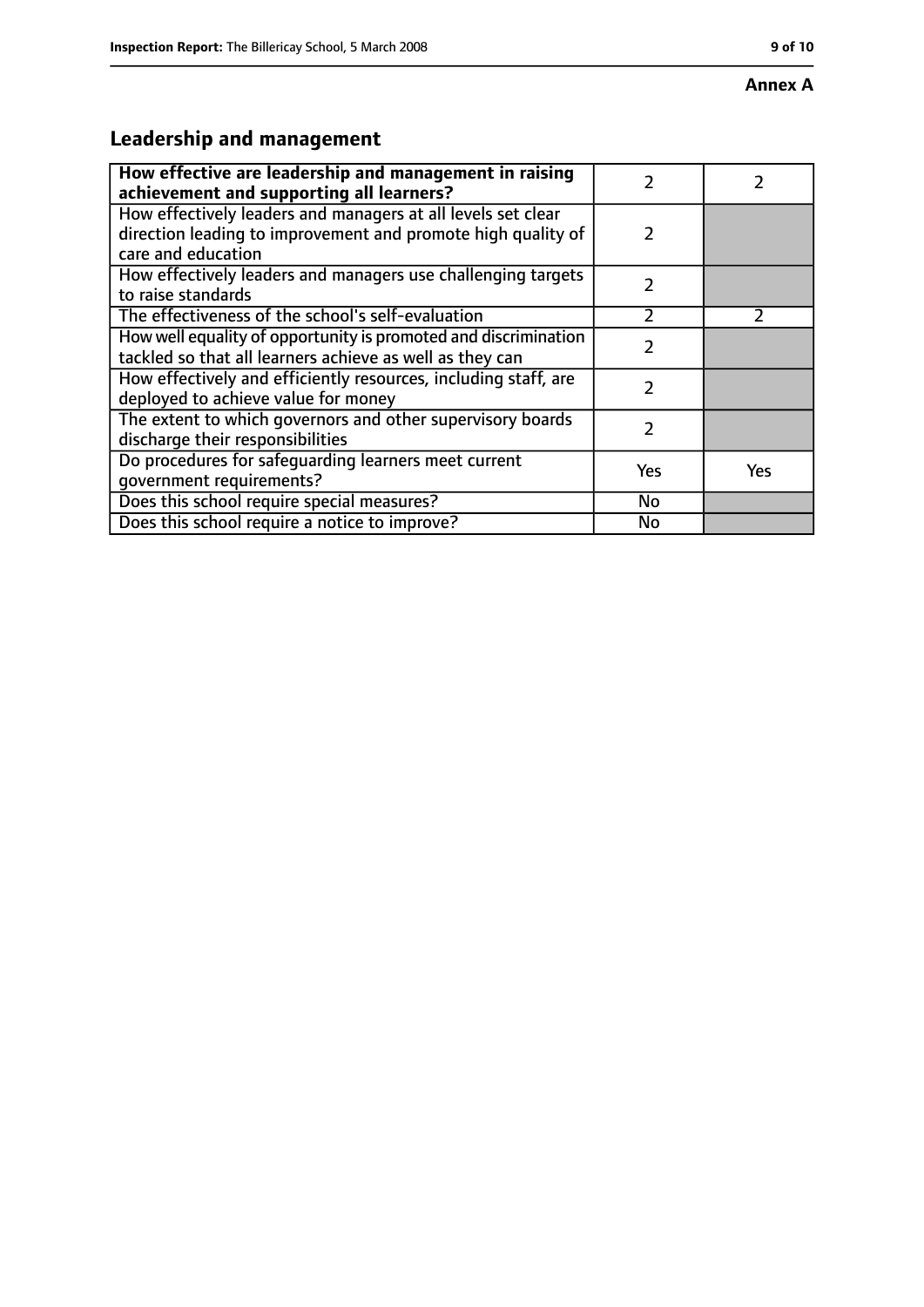#### **Annex A**

# **Leadership and management**

| How effective are leadership and management in raising<br>achievement and supporting all learners?                                                 | 7             |               |
|----------------------------------------------------------------------------------------------------------------------------------------------------|---------------|---------------|
| How effectively leaders and managers at all levels set clear<br>direction leading to improvement and promote high quality of<br>care and education | $\mathcal{P}$ |               |
| How effectively leaders and managers use challenging targets<br>to raise standards                                                                 | $\mathcal{P}$ |               |
| The effectiveness of the school's self-evaluation                                                                                                  | $\mathcal{P}$ | $\mathcal{P}$ |
| How well equality of opportunity is promoted and discrimination<br>tackled so that all learners achieve as well as they can                        | 7             |               |
| How effectively and efficiently resources, including staff, are<br>deployed to achieve value for money                                             | 2             |               |
| The extent to which governors and other supervisory boards<br>discharge their responsibilities                                                     | 2             |               |
| Do procedures for safeguarding learners meet current<br>qovernment requirements?                                                                   | Yes           | <b>Yes</b>    |
| Does this school require special measures?                                                                                                         | No            |               |
| Does this school require a notice to improve?                                                                                                      | <b>No</b>     |               |